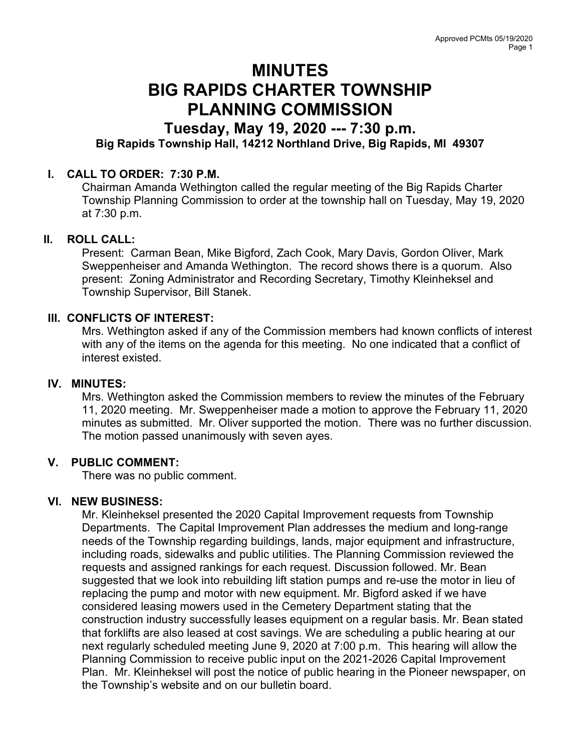# MINUTES BIG RAPIDS CHARTER TOWNSHIP PLANNING COMMISSION

# Tuesday, May 19, 2020 --- 7:30 p.m. Big Rapids Township Hall, 14212 Northland Drive, Big Rapids, MI 49307

# I. CALL TO ORDER: 7:30 P.M.

Chairman Amanda Wethington called the regular meeting of the Big Rapids Charter Township Planning Commission to order at the township hall on Tuesday, May 19, 2020 at 7:30 p.m.

# II. ROLL CALL:

Present: Carman Bean, Mike Bigford, Zach Cook, Mary Davis, Gordon Oliver, Mark Sweppenheiser and Amanda Wethington. The record shows there is a quorum. Also present: Zoning Administrator and Recording Secretary, Timothy Kleinheksel and Township Supervisor, Bill Stanek.

### III. CONFLICTS OF INTEREST:

Mrs. Wethington asked if any of the Commission members had known conflicts of interest with any of the items on the agenda for this meeting. No one indicated that a conflict of interest existed.

#### IV. MINUTES:

Mrs. Wethington asked the Commission members to review the minutes of the February 11, 2020 meeting. Mr. Sweppenheiser made a motion to approve the February 11, 2020 minutes as submitted. Mr. Oliver supported the motion. There was no further discussion. The motion passed unanimously with seven ayes.

# V. PUBLIC COMMENT:

There was no public comment.

# VI. NEW BUSINESS:

Mr. Kleinheksel presented the 2020 Capital Improvement requests from Township Departments. The Capital Improvement Plan addresses the medium and long-range needs of the Township regarding buildings, lands, major equipment and infrastructure, including roads, sidewalks and public utilities. The Planning Commission reviewed the requests and assigned rankings for each request. Discussion followed. Mr. Bean suggested that we look into rebuilding lift station pumps and re-use the motor in lieu of replacing the pump and motor with new equipment. Mr. Bigford asked if we have considered leasing mowers used in the Cemetery Department stating that the construction industry successfully leases equipment on a regular basis. Mr. Bean stated that forklifts are also leased at cost savings. We are scheduling a public hearing at our next regularly scheduled meeting June 9, 2020 at 7:00 p.m. This hearing will allow the Planning Commission to receive public input on the 2021-2026 Capital Improvement Plan. Mr. Kleinheksel will post the notice of public hearing in the Pioneer newspaper, on the Township's website and on our bulletin board.